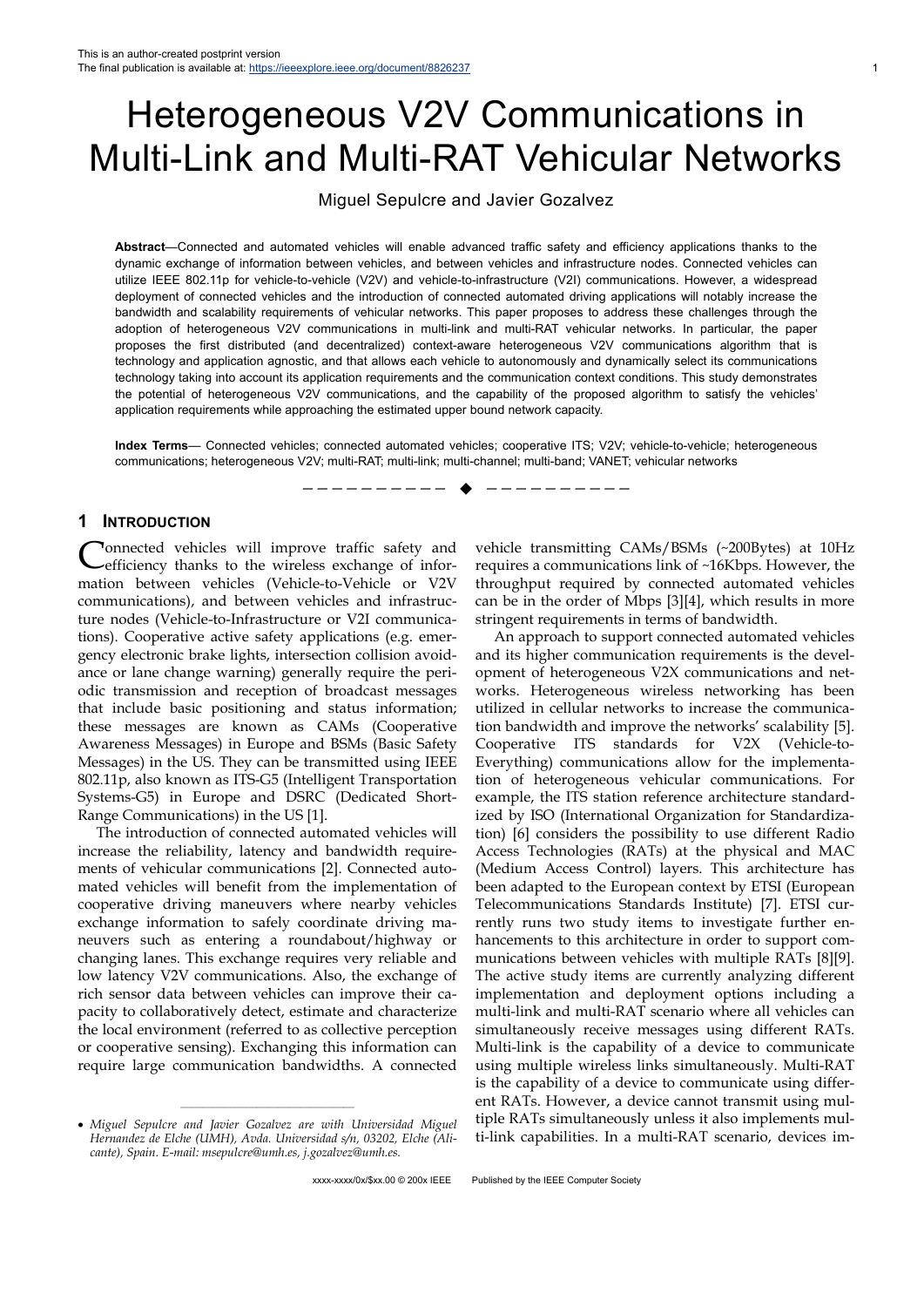# Heterogeneous V2V Communications in Multi-Link and Multi-RAT Vehicular Networks

# Miguel Sepulcre and Javier Gozalvez

**Abstract**—Connected and automated vehicles will enable advanced traffic safety and efficiency applications thanks to the dynamic exchange of information between vehicles, and between vehicles and infrastructure nodes. Connected vehicles can utilize IEEE 802.11p for vehicle-to-vehicle (V2V) and vehicle-to-infrastructure (V2I) communications. However, a widespread deployment of connected vehicles and the introduction of connected automated driving applications will notably increase the bandwidth and scalability requirements of vehicular networks. This paper proposes to address these challenges through the adoption of heterogeneous V2V communications in multi-link and multi-RAT vehicular networks. In particular, the paper proposes the first distributed (and decentralized) context-aware heterogeneous V2V communications algorithm that is technology and application agnostic, and that allows each vehicle to autonomously and dynamically select its communications technology taking into account its application requirements and the communication context conditions. This study demonstrates the potential of heterogeneous V2V communications, and the capability of the proposed algorithm to satisfy the vehicles' application requirements while approaching the estimated upper bound network capacity.

**Index Terms**— Connected vehicles; connected automated vehicles; cooperative ITS; V2V; vehicle-to-vehicle; heterogeneous communications; heterogeneous V2V; multi-RAT; multi-link; multi-channel; multi-band; VANET; vehicular networks

—————————— ——————————

### **1 INTRODUCTION**

onnected vehicles will improve traffic safety and efficiency thanks to the wireless exchange of information between vehicles (Vehicle-to-Vehicle or V2V communications), and between vehicles and infrastructure nodes (Vehicle-to-Infrastructure or V2I communications). Cooperative active safety applications (e.g. emergency electronic brake lights, intersection collision avoidance or lane change warning) generally require the periodic transmission and reception of broadcast messages that include basic positioning and status information; these messages are known as CAMs (Cooperative Awareness Messages) in Europe and BSMs (Basic Safety Messages) in the US. They can be transmitted using IEEE 802.11p, also known as ITS-G5 (Intelligent Transportation Systems-G5) in Europe and DSRC (Dedicated Short-Range Communications) in the US [1]. C

The introduction of connected automated vehicles will increase the reliability, latency and bandwidth requirements of vehicular communications [2]. Connected automated vehicles will benefit from the implementation of cooperative driving maneuvers where nearby vehicles exchange information to safely coordinate driving maneuvers such as entering a roundabout/highway or changing lanes. This exchange requires very reliable and low latency V2V communications. Also, the exchange of rich sensor data between vehicles can improve their capacity to collaboratively detect, estimate and characterize the local environment (referred to as collective perception or cooperative sensing). Exchanging this information can require large communication bandwidths. A connected

————————————————

vehicle transmitting CAMs/BSMs (~200Bytes) at 10Hz requires a communications link of ~16Kbps. However, the throughput required by connected automated vehicles can be in the order of Mbps [3][4], which results in more stringent requirements in terms of bandwidth.

An approach to support connected automated vehicles and its higher communication requirements is the development of heterogeneous V2X communications and networks. Heterogeneous wireless networking has been utilized in cellular networks to increase the communication bandwidth and improve the networks' scalability [5]. Cooperative ITS standards for V2X (Vehicle-to-Everything) communications allow for the implementation of heterogeneous vehicular communications. For example, the ITS station reference architecture standardized by ISO (International Organization for Standardization) [6] considers the possibility to use different Radio Access Technologies (RATs) at the physical and MAC (Medium Access Control) layers. This architecture has been adapted to the European context by ETSI (European Telecommunications Standards Institute) [7]. ETSI currently runs two study items to investigate further enhancements to this architecture in order to support communications between vehicles with multiple RATs [8][9]. The active study items are currently analyzing different implementation and deployment options including a multi-link and multi-RAT scenario where all vehicles can simultaneously receive messages using different RATs. Multi-link is the capability of a device to communicate using multiple wireless links simultaneously. Multi-RAT is the capability of a device to communicate using different RATs. However, a device cannot transmit using multiple RATs simultaneously unless it also implements multi-link capabilities. In a multi-RAT scenario, devices im-

*Miguel Sepulcre and Javier Gozalvez are with Universidad Miguel Hernandez de Elche (UMH), Avda. Universidad s/n, 03202, Elche (Alicante), Spain. E-mail: msepulcre@umh.es, j.gozalvez@umh.es.*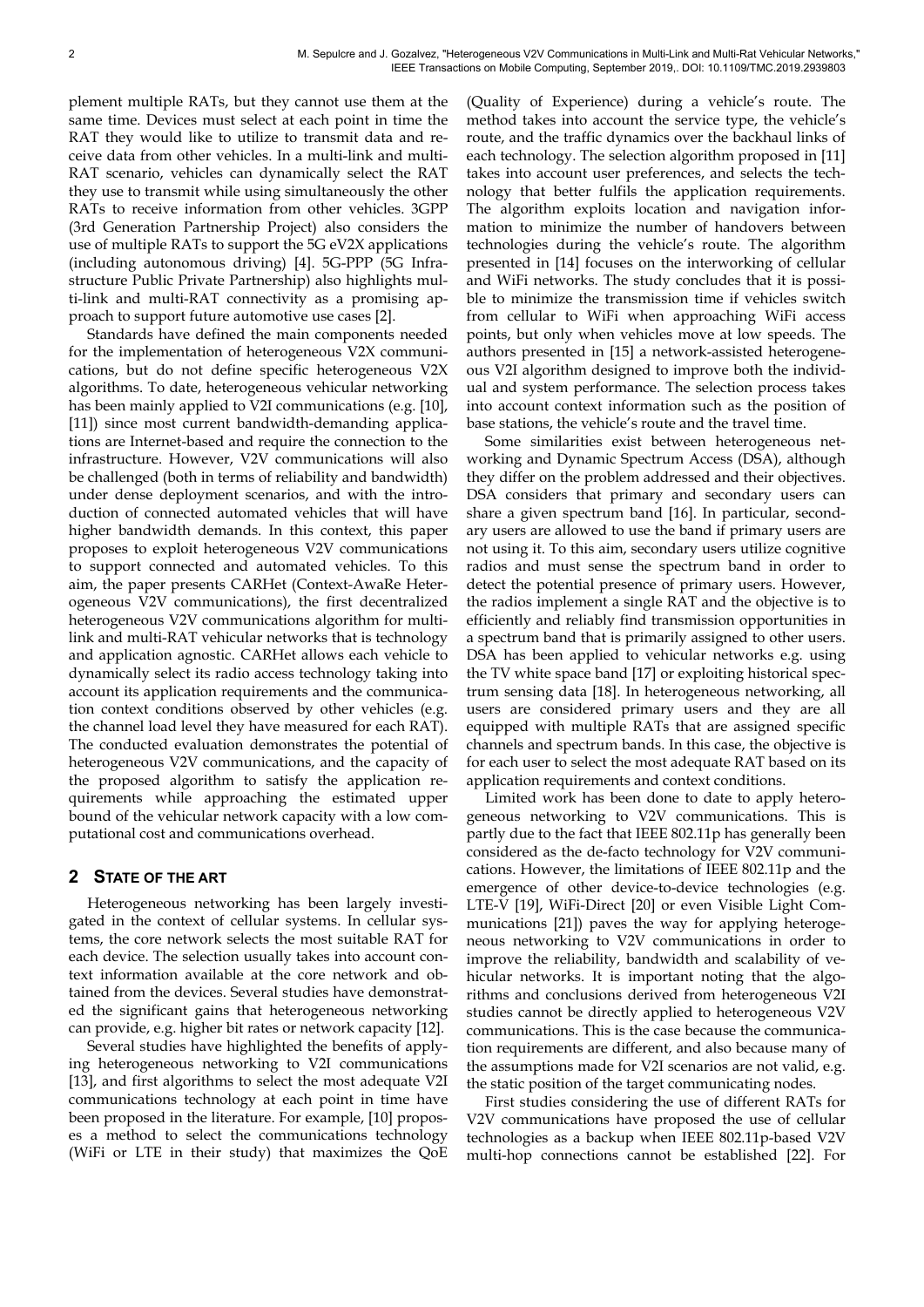plement multiple RATs, but they cannot use them at the same time. Devices must select at each point in time the RAT they would like to utilize to transmit data and receive data from other vehicles. In a multi-link and multi-RAT scenario, vehicles can dynamically select the RAT they use to transmit while using simultaneously the other RATs to receive information from other vehicles. 3GPP (3rd Generation Partnership Project) also considers the use of multiple RATs to support the 5G eV2X applications (including autonomous driving) [4]. 5G-PPP (5G Infrastructure Public Private Partnership) also highlights multi-link and multi-RAT connectivity as a promising approach to support future automotive use cases [2].

Standards have defined the main components needed for the implementation of heterogeneous V2X communications, but do not define specific heterogeneous V2X algorithms. To date, heterogeneous vehicular networking has been mainly applied to V2I communications (e.g. [10], [11]) since most current bandwidth-demanding applications are Internet-based and require the connection to the infrastructure. However, V2V communications will also be challenged (both in terms of reliability and bandwidth) under dense deployment scenarios, and with the introduction of connected automated vehicles that will have higher bandwidth demands. In this context, this paper proposes to exploit heterogeneous V2V communications to support connected and automated vehicles. To this aim, the paper presents CARHet (Context-AwaRe Heterogeneous V2V communications), the first decentralized heterogeneous V2V communications algorithm for multilink and multi-RAT vehicular networks that is technology and application agnostic. CARHet allows each vehicle to dynamically select its radio access technology taking into account its application requirements and the communication context conditions observed by other vehicles (e.g. the channel load level they have measured for each RAT). The conducted evaluation demonstrates the potential of heterogeneous V2V communications, and the capacity of the proposed algorithm to satisfy the application requirements while approaching the estimated upper bound of the vehicular network capacity with a low computational cost and communications overhead.

#### **2 STATE OF THE ART**

Heterogeneous networking has been largely investigated in the context of cellular systems. In cellular systems, the core network selects the most suitable RAT for each device. The selection usually takes into account context information available at the core network and obtained from the devices. Several studies have demonstrated the significant gains that heterogeneous networking can provide, e.g. higher bit rates or network capacity [12].

Several studies have highlighted the benefits of applying heterogeneous networking to V2I communications [13], and first algorithms to select the most adequate V2I communications technology at each point in time have been proposed in the literature. For example, [10] proposes a method to select the communications technology (WiFi or LTE in their study) that maximizes the QoE

(Quality of Experience) during a vehicle's route. The method takes into account the service type, the vehicle's route, and the traffic dynamics over the backhaul links of each technology. The selection algorithm proposed in [11] takes into account user preferences, and selects the technology that better fulfils the application requirements. The algorithm exploits location and navigation information to minimize the number of handovers between technologies during the vehicle's route. The algorithm presented in [14] focuses on the interworking of cellular and WiFi networks. The study concludes that it is possible to minimize the transmission time if vehicles switch from cellular to WiFi when approaching WiFi access points, but only when vehicles move at low speeds. The authors presented in [15] a network-assisted heterogeneous V2I algorithm designed to improve both the individual and system performance. The selection process takes into account context information such as the position of base stations, the vehicle's route and the travel time.

Some similarities exist between heterogeneous networking and Dynamic Spectrum Access (DSA), although they differ on the problem addressed and their objectives. DSA considers that primary and secondary users can share a given spectrum band [16]. In particular, secondary users are allowed to use the band if primary users are not using it. To this aim, secondary users utilize cognitive radios and must sense the spectrum band in order to detect the potential presence of primary users. However, the radios implement a single RAT and the objective is to efficiently and reliably find transmission opportunities in a spectrum band that is primarily assigned to other users. DSA has been applied to vehicular networks e.g. using the TV white space band [17] or exploiting historical spectrum sensing data [18]. In heterogeneous networking, all users are considered primary users and they are all equipped with multiple RATs that are assigned specific channels and spectrum bands. In this case, the objective is for each user to select the most adequate RAT based on its application requirements and context conditions.

Limited work has been done to date to apply heterogeneous networking to V2V communications. This is partly due to the fact that IEEE 802.11p has generally been considered as the de-facto technology for V2V communications. However, the limitations of IEEE 802.11p and the emergence of other device-to-device technologies (e.g. LTE-V [19], WiFi-Direct [20] or even Visible Light Communications [21]) paves the way for applying heterogeneous networking to V2V communications in order to improve the reliability, bandwidth and scalability of vehicular networks. It is important noting that the algorithms and conclusions derived from heterogeneous V2I studies cannot be directly applied to heterogeneous V2V communications. This is the case because the communication requirements are different, and also because many of the assumptions made for V2I scenarios are not valid, e.g. the static position of the target communicating nodes.

First studies considering the use of different RATs for V2V communications have proposed the use of cellular technologies as a backup when IEEE 802.11p-based V2V multi-hop connections cannot be established [22]. For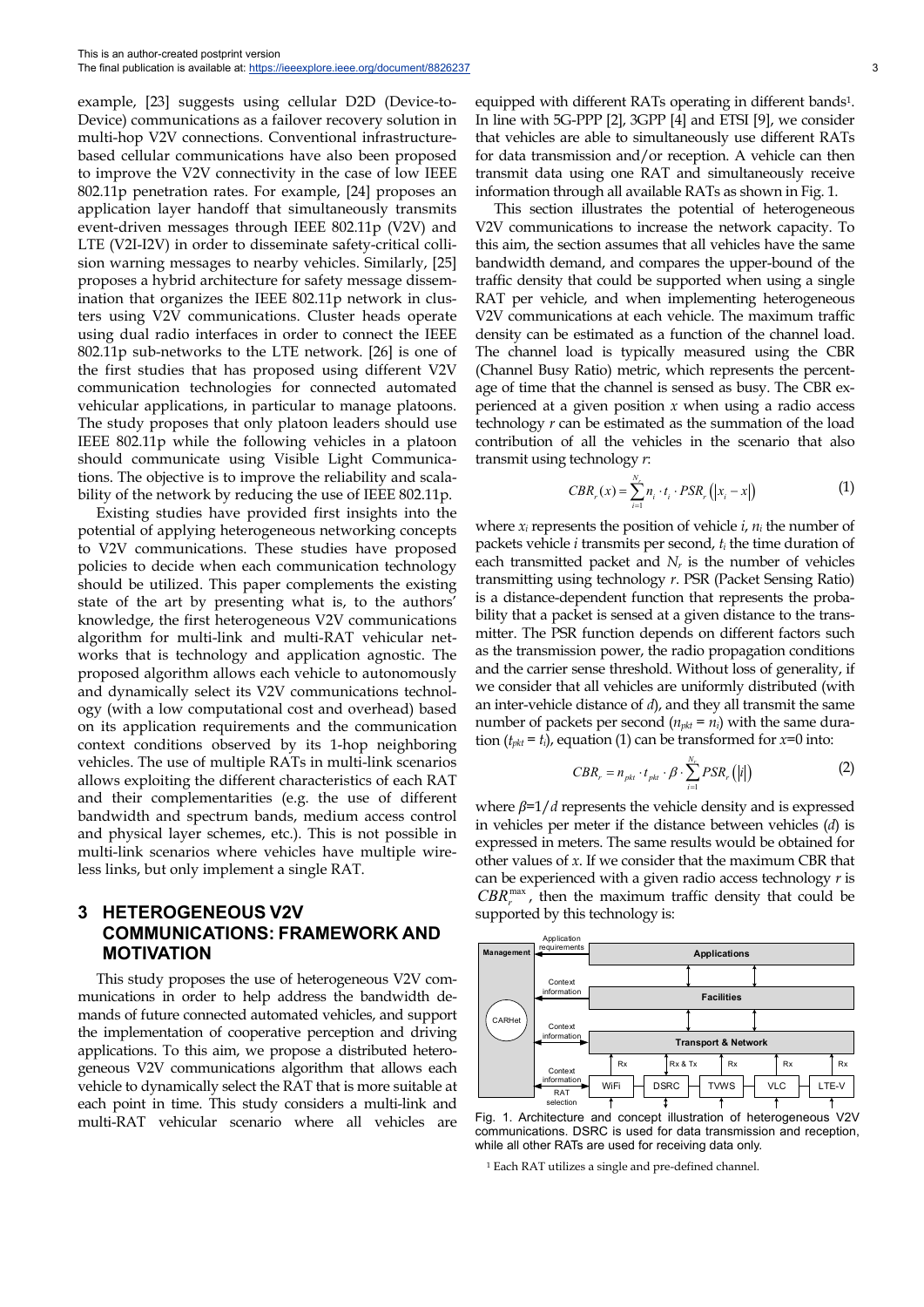example, [23] suggests using cellular D2D (Device-to-Device) communications as a failover recovery solution in multi-hop V2V connections. Conventional infrastructurebased cellular communications have also been proposed to improve the V2V connectivity in the case of low IEEE 802.11p penetration rates. For example, [24] proposes an application layer handoff that simultaneously transmits event-driven messages through IEEE 802.11p (V2V) and LTE (V2I-I2V) in order to disseminate safety-critical collision warning messages to nearby vehicles. Similarly, [25] proposes a hybrid architecture for safety message dissemination that organizes the IEEE 802.11p network in clusters using V2V communications. Cluster heads operate using dual radio interfaces in order to connect the IEEE 802.11p sub-networks to the LTE network. [26] is one of the first studies that has proposed using different V2V communication technologies for connected automated vehicular applications, in particular to manage platoons. The study proposes that only platoon leaders should use IEEE 802.11p while the following vehicles in a platoon should communicate using Visible Light Communications. The objective is to improve the reliability and scalability of the network by reducing the use of IEEE 802.11p.

Existing studies have provided first insights into the potential of applying heterogeneous networking concepts to V2V communications. These studies have proposed policies to decide when each communication technology should be utilized. This paper complements the existing state of the art by presenting what is, to the authors' knowledge, the first heterogeneous V2V communications algorithm for multi-link and multi-RAT vehicular networks that is technology and application agnostic. The proposed algorithm allows each vehicle to autonomously and dynamically select its V2V communications technology (with a low computational cost and overhead) based on its application requirements and the communication context conditions observed by its 1-hop neighboring vehicles. The use of multiple RATs in multi-link scenarios allows exploiting the different characteristics of each RAT and their complementarities (e.g. the use of different bandwidth and spectrum bands, medium access control and physical layer schemes, etc.). This is not possible in multi-link scenarios where vehicles have multiple wireless links, but only implement a single RAT.

# **3 HETEROGENEOUS V2V COMMUNICATIONS: FRAMEWORK AND MOTIVATION**

This study proposes the use of heterogeneous V2V communications in order to help address the bandwidth demands of future connected automated vehicles, and support the implementation of cooperative perception and driving applications. To this aim, we propose a distributed heterogeneous V2V communications algorithm that allows each vehicle to dynamically select the RAT that is more suitable at each point in time. This study considers a multi-link and multi-RAT vehicular scenario where all vehicles are equipped with different RATs operating in different bands<sup>1</sup>. In line with 5G-PPP [2], 3GPP [4] and ETSI [9], we consider that vehicles are able to simultaneously use different RATs for data transmission and/or reception. A vehicle can then transmit data using one RAT and simultaneously receive information through all available RATs as shown in Fig. 1.

This section illustrates the potential of heterogeneous V2V communications to increase the network capacity. To this aim, the section assumes that all vehicles have the same bandwidth demand, and compares the upper-bound of the traffic density that could be supported when using a single RAT per vehicle, and when implementing heterogeneous V2V communications at each vehicle. The maximum traffic density can be estimated as a function of the channel load. The channel load is typically measured using the CBR (Channel Busy Ratio) metric, which represents the percentage of time that the channel is sensed as busy. The CBR experienced at a given position *x* when using a radio access technology *r* can be estimated as the summation of the load contribution of all the vehicles in the scenario that also transmit using technology *r*:

$$
CBR_r(x) = \sum_{i=1}^{N_r} n_i \cdot t_i \cdot PSR_r(|x_i - x|)
$$
 (1)

where  $x_i$  represents the position of vehicle  $i, n_i$  the number of packets vehicle *i* transmits per second, *ti* the time duration of each transmitted packet and  $N_r$  is the number of vehicles transmitting using technology *r*. PSR (Packet Sensing Ratio) is a distance-dependent function that represents the probability that a packet is sensed at a given distance to the transmitter. The PSR function depends on different factors such as the transmission power, the radio propagation conditions and the carrier sense threshold. Without loss of generality, if we consider that all vehicles are uniformly distributed (with an inter-vehicle distance of *d*), and they all transmit the same number of packets per second  $(n_{pkt} = n_i)$  with the same duration  $(t_{\text{rkt}} = t_i)$ , equation (1) can be transformed for  $x=0$  into:

$$
CBR_r = n_{\scriptscriptstyle{pkt}} \cdot t_{\scriptscriptstyle{pkt}} \cdot \beta \cdot \sum_{i=1}^{N_r} PSR_r(|i|)
$$
 (2)

where *β*=1/*d* represents the vehicle density and is expressed in vehicles per meter if the distance between vehicles (*d*) is expressed in meters. The same results would be obtained for other values of *x*. If we consider that the maximum CBR that can be experienced with a given radio access technology *r* is *CBR*<sup>*max*</sup>, then the maximum traffic density that could be supported by this technology is:



Fig. 1. Architecture and concept illustration of heterogeneous V2V communications. DSRC is used for data transmission and reception, while all other RATs are used for receiving data only.

1 Each RAT utilizes a single and pre-defined channel.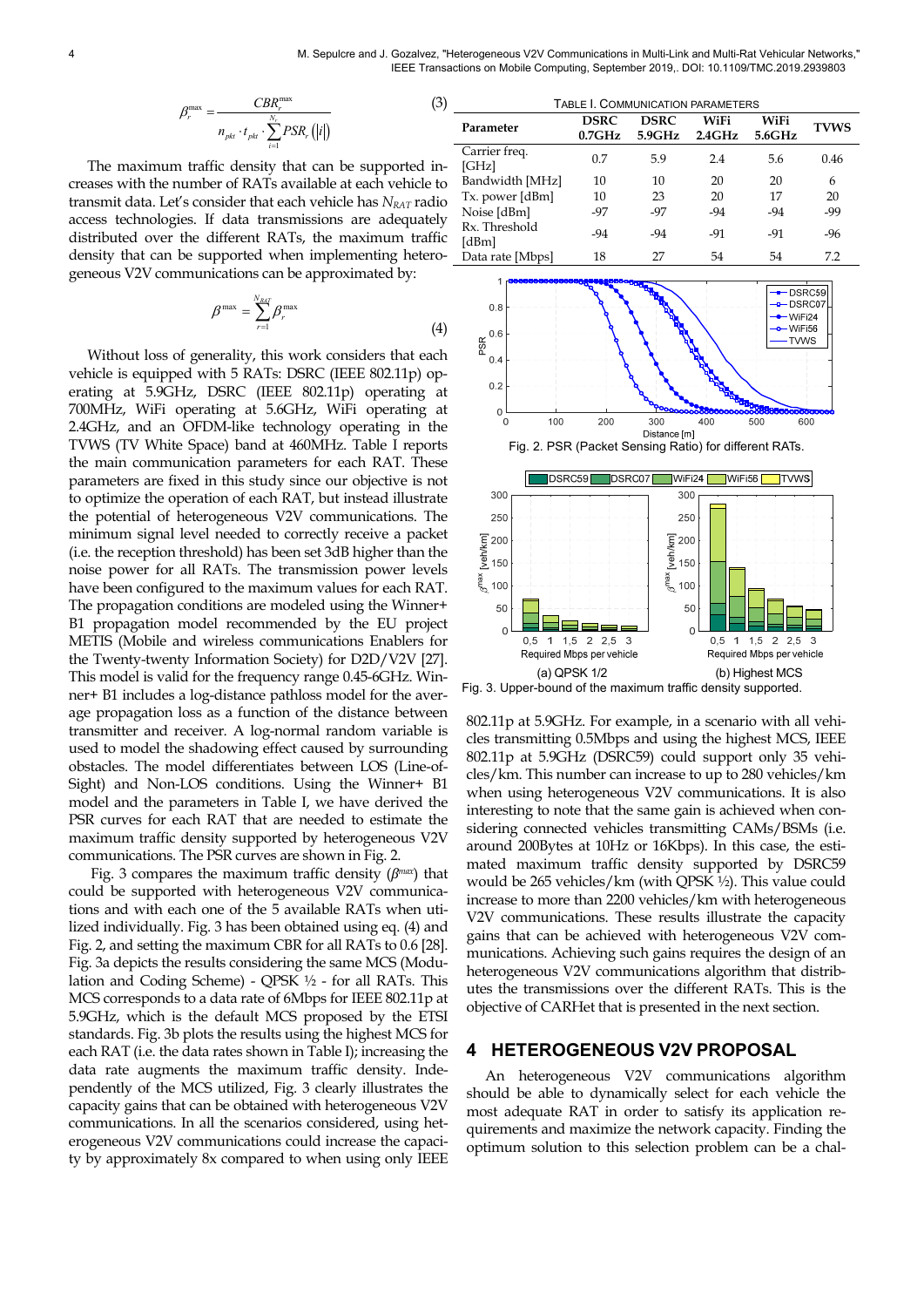$$
\beta_r^{\max} = \frac{CBR_r^{\max}}{n_{pkt} \cdot t_{pkt} \cdot \sum_{i=1}^{N_r} PSR_r(|i|)}
$$

The maximum traffic density that can be supported increases with the number of RATs available at each vehicle to transmit data. Let's consider that each vehicle has *N<sub>RAT</sub>* radio access technologies. If data transmissions are adequately distributed over the different RATs, the maximum traffic density that can be supported when implementing heterogeneous V2V communications can be approximated by:

$$
\beta^{\max} = \sum_{r=1}^{N_{RIT}} \beta_r^{\max} \tag{4}
$$

Without loss of generality, this work considers that each vehicle is equipped with 5 RATs: DSRC (IEEE 802.11p) operating at 5.9GHz, DSRC (IEEE 802.11p) operating at 700MHz, WiFi operating at 5.6GHz, WiFi operating at 2.4GHz, and an OFDM-like technology operating in the TVWS (TV White Space) band at 460MHz. Table I reports the main communication parameters for each RAT. These parameters are fixed in this study since our objective is not to optimize the operation of each RAT, but instead illustrate the potential of heterogeneous V2V communications. The minimum signal level needed to correctly receive a packet (i.e. the reception threshold) has been set 3dB higher than the noise power for all RATs. The transmission power levels have been configured to the maximum values for each RAT. The propagation conditions are modeled using the Winner+ B1 propagation model recommended by the EU project METIS (Mobile and wireless communications Enablers for the Twenty-twenty Information Society) for D2D/V2V [27]. This model is valid for the frequency range 0.45-6GHz. Winner+ B1 includes a log-distance pathloss model for the average propagation loss as a function of the distance between transmitter and receiver. A log-normal random variable is used to model the shadowing effect caused by surrounding obstacles. The model differentiates between LOS (Line-of-Sight) and Non-LOS conditions. Using the Winner+ B1 model and the parameters in Table I, we have derived the PSR curves for each RAT that are needed to estimate the maximum traffic density supported by heterogeneous V2V communications. The PSR curves are shown in Fig. 2.

 Fig. 3 compares the maximum traffic density (*βmax*) that could be supported with heterogeneous V2V communications and with each one of the 5 available RATs when utilized individually. Fig. 3 has been obtained using eq. (4) and Fig. 2, and setting the maximum CBR for all RATs to 0.6 [28]. Fig. 3a depicts the results considering the same MCS (Modulation and Coding Scheme) - QPSK ½ - for all RATs. This MCS corresponds to a data rate of 6Mbps for IEEE 802.11p at 5.9GHz, which is the default MCS proposed by the ETSI standards. Fig. 3b plots the results using the highest MCS for each RAT (i.e. the data rates shown in Table I); increasing the data rate augments the maximum traffic density. Independently of the MCS utilized, Fig. 3 clearly illustrates the capacity gains that can be obtained with heterogeneous V2V communications. In all the scenarios considered, using heterogeneous V2V communications could increase the capacity by approximately 8x compared to when using only IEEE

| (3)         | TABLE I. COMMUNICATION PARAMETERS |                          |                                  |                         |                |             |
|-------------|-----------------------------------|--------------------------|----------------------------------|-------------------------|----------------|-------------|
|             | Parameter                         | <b>DSRC</b><br>$0.7$ GHz | <b>DSRC</b><br>$5.9\mathrm{GHz}$ | WiFi<br>$2.4\text{GHz}$ | WiFi<br>5.6GHz | <b>TVWS</b> |
| in-         | Carrier freq.<br>[GHz]            | 0.7                      | 5.9                              | 2.4                     | 5.6            | 0.46        |
| e to        | Bandwidth [MHz]                   | 10                       | 10                               | 20                      | 20             | 6           |
| dio         | Tx. power [dBm]                   | 10                       | 23                               | 20                      | 17             | 20          |
|             | Noise [dBm]                       | -97                      | -97                              | -94                     | $-94$          | $-99$       |
| ely<br>ffic | Rx. Threshold<br>[dBm]            | $-94$                    | $-94$                            | -91                     | -91            | $-96$       |
| ro-         | Data rate [Mbps]                  | 18                       | 27                               | 54                      | 54             | 7.2         |





802.11p at 5.9GHz. For example, in a scenario with all vehicles transmitting 0.5Mbps and using the highest MCS, IEEE 802.11p at 5.9GHz (DSRC59) could support only 35 vehicles/km. This number can increase to up to 280 vehicles/km when using heterogeneous V2V communications. It is also interesting to note that the same gain is achieved when considering connected vehicles transmitting CAMs/BSMs (i.e. around 200Bytes at 10Hz or 16Kbps). In this case, the estimated maximum traffic density supported by DSRC59 would be 265 vehicles/km (with QPSK ½). This value could increase to more than 2200 vehicles/km with heterogeneous V2V communications. These results illustrate the capacity gains that can be achieved with heterogeneous V2V communications. Achieving such gains requires the design of an heterogeneous V2V communications algorithm that distributes the transmissions over the different RATs. This is the objective of CARHet that is presented in the next section.

#### **4 HETEROGENEOUS V2V PROPOSAL**

An heterogeneous V2V communications algorithm should be able to dynamically select for each vehicle the most adequate RAT in order to satisfy its application requirements and maximize the network capacity. Finding the optimum solution to this selection problem can be a chal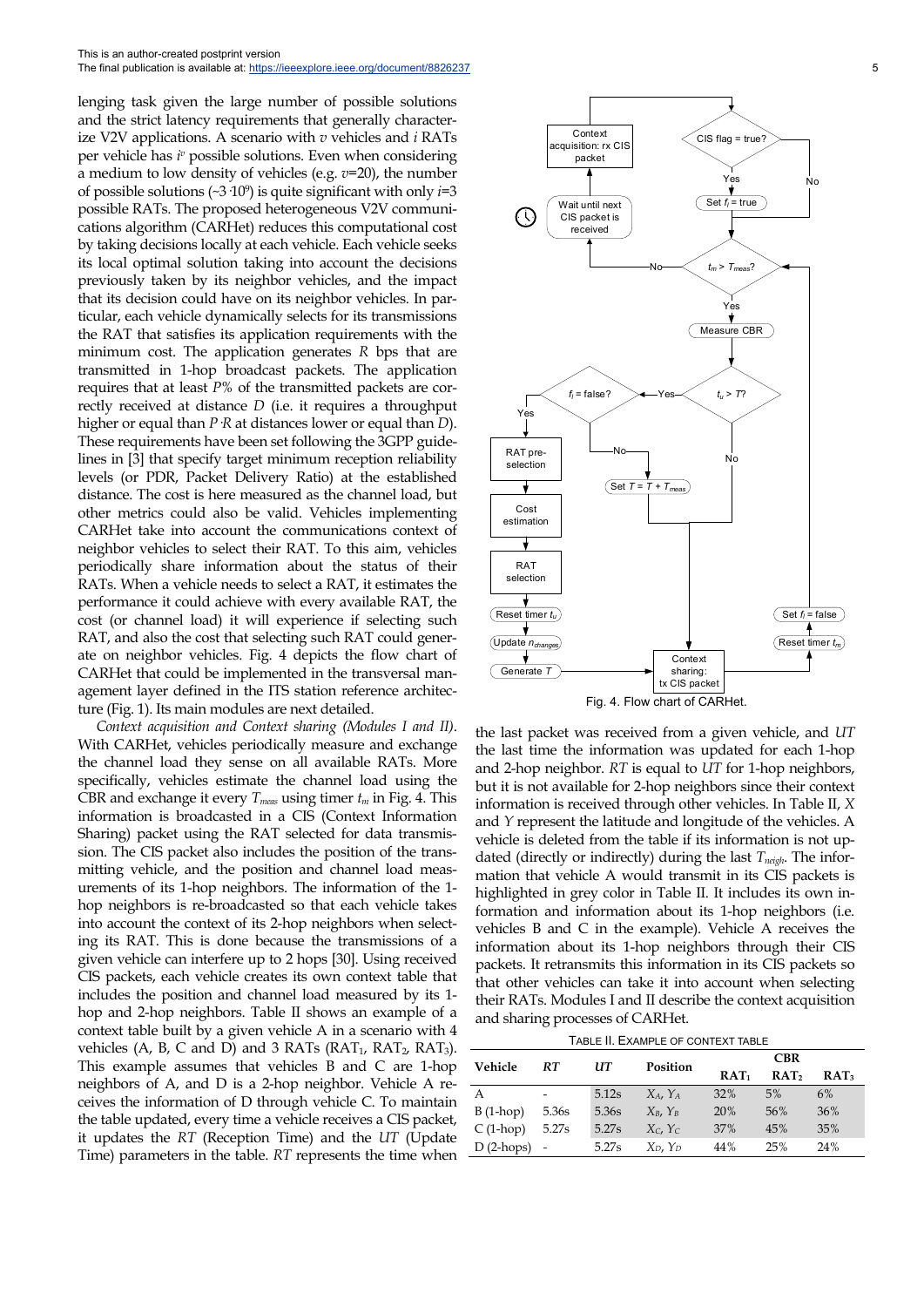This is an author-created postprint version The final publication is available at: https://ieeexplore.ieee.org/document/8826237

lenging task given the large number of possible solutions and the strict latency requirements that generally characterize V2V applications. A scenario with *v* vehicles and *i* RATs per vehicle has *i <sup>v</sup>* possible solutions. Even when considering a medium to low density of vehicles (e.g. *v*=20), the number of possible solutions (~3·109) is quite significant with only *i*=3 possible RATs. The proposed heterogeneous V2V communications algorithm (CARHet) reduces this computational cost by taking decisions locally at each vehicle. Each vehicle seeks its local optimal solution taking into account the decisions previously taken by its neighbor vehicles, and the impact that its decision could have on its neighbor vehicles. In particular, each vehicle dynamically selects for its transmissions the RAT that satisfies its application requirements with the minimum cost. The application generates *R* bps that are transmitted in 1-hop broadcast packets. The application requires that at least *P*% of the transmitted packets are correctly received at distance *D* (i.e. it requires a throughput higher or equal than *P*·*R* at distances lower or equal than *D*). These requirements have been set following the 3GPP guidelines in [3] that specify target minimum reception reliability levels (or PDR, Packet Delivery Ratio) at the established distance. The cost is here measured as the channel load, but other metrics could also be valid. Vehicles implementing CARHet take into account the communications context of neighbor vehicles to select their RAT. To this aim, vehicles periodically share information about the status of their RATs. When a vehicle needs to select a RAT, it estimates the performance it could achieve with every available RAT, the cost (or channel load) it will experience if selecting such RAT, and also the cost that selecting such RAT could generate on neighbor vehicles. Fig. 4 depicts the flow chart of CARHet that could be implemented in the transversal management layer defined in the ITS station reference architecture (Fig. 1). Its main modules are next detailed.

*Context acquisition and Context sharing (Modules I and II)*. With CARHet, vehicles periodically measure and exchange the channel load they sense on all available RATs. More specifically, vehicles estimate the channel load using the CBR and exchange it every  $T_{meas}$  using timer  $t_m$  in Fig. 4. This information is broadcasted in a CIS (Context Information Sharing) packet using the RAT selected for data transmission. The CIS packet also includes the position of the transmitting vehicle, and the position and channel load measurements of its 1-hop neighbors. The information of the 1 hop neighbors is re-broadcasted so that each vehicle takes into account the context of its 2-hop neighbors when selecting its RAT. This is done because the transmissions of a given vehicle can interfere up to 2 hops [30]. Using received CIS packets, each vehicle creates its own context table that includes the position and channel load measured by its 1 hop and 2-hop neighbors. Table II shows an example of a context table built by a given vehicle A in a scenario with 4 vehicles (A, B, C and D) and 3 RATs ( $RAT_1$ ,  $RAT_2$ ,  $RAT_3$ ). This example assumes that vehicles B and C are 1-hop neighbors of A, and D is a 2-hop neighbor. Vehicle A receives the information of D through vehicle C. To maintain the table updated, every time a vehicle receives a CIS packet, it updates the *RT* (Reception Time) and the *UT* (Update Time) parameters in the table. *RT* represents the time when



the last packet was received from a given vehicle, and *UT* the last time the information was updated for each 1-hop and 2-hop neighbor. *RT* is equal to *UT* for 1-hop neighbors, but it is not available for 2-hop neighbors since their context information is received through other vehicles. In Table II, *X* and *Y* represent the latitude and longitude of the vehicles. A vehicle is deleted from the table if its information is not updated (directly or indirectly) during the last  $T_{neich}$ . The information that vehicle A would transmit in its CIS packets is highlighted in grey color in Table II. It includes its own information and information about its 1-hop neighbors (i.e. vehicles B and C in the example). Vehicle A receives the information about its 1-hop neighbors through their CIS packets. It retransmits this information in its CIS packets so that other vehicles can take it into account when selecting their RATs. Modules I and II describe the context acquisition and sharing processes of CARHet.

|--|

| Vehicle     | RT.                      | UТ    | Position<br>$RAT_1$ | <b>CBR</b> |                  |                  |
|-------------|--------------------------|-------|---------------------|------------|------------------|------------------|
|             |                          |       |                     |            | RAT <sub>2</sub> | RAT <sub>3</sub> |
| A           | -                        | 5.12s | $X_A, Y_A$          | 32%        | 5%               | 6%               |
| $B(1-hop)$  | 5.36s                    | 5.36s | $X_B$ , $Y_B$       | 20%        | 56%              | 36%              |
| $C(1-hop)$  | 5.27s                    | 5.27s | $X_c, Y_c$          | 37%        | 45%              | 35%              |
| $D(2-hops)$ | $\overline{\phantom{a}}$ | 5.27s | $X_D, Y_D$          | 44%        | 25%              | 24%              |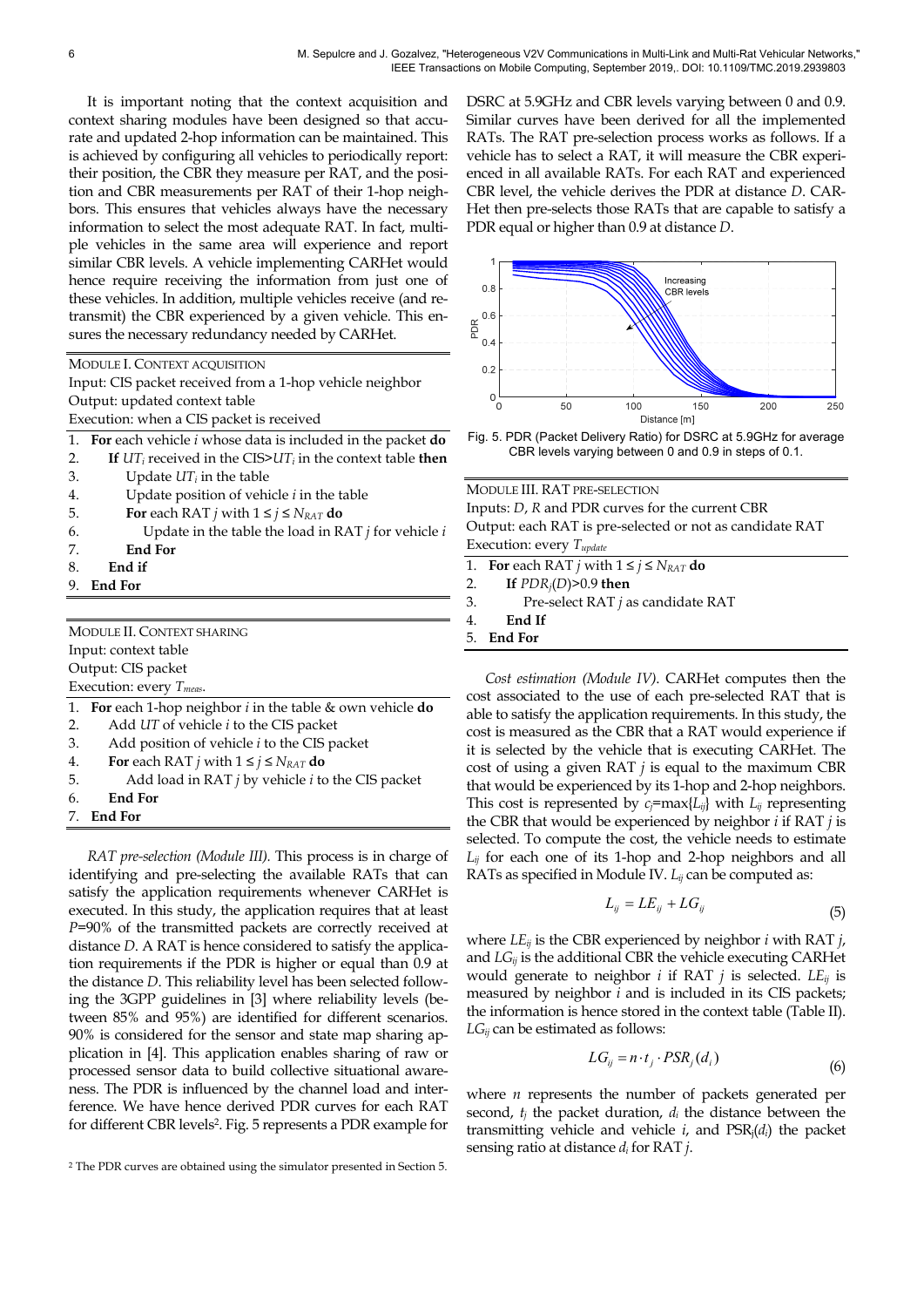It is important noting that the context acquisition and context sharing modules have been designed so that accurate and updated 2-hop information can be maintained. This is achieved by configuring all vehicles to periodically report: their position, the CBR they measure per RAT, and the position and CBR measurements per RAT of their 1-hop neighbors. This ensures that vehicles always have the necessary information to select the most adequate RAT. In fact, multiple vehicles in the same area will experience and report similar CBR levels. A vehicle implementing CARHet would hence require receiving the information from just one of these vehicles. In addition, multiple vehicles receive (and retransmit) the CBR experienced by a given vehicle. This ensures the necessary redundancy needed by CARHet.

|  | MODULE I. CONTEXT ACQUISITION |  |
|--|-------------------------------|--|
|  |                               |  |

Input: CIS packet received from a 1-hop vehicle neighbor Output: updated context table

Execution: when a CIS packet is received

- 1. **For** each vehicle *i* whose data is included in the packet **do**
- 2. **If** *UTi* received in the CIS>*UTi* in the context table **then**
- 3. Update  $UT_i$  in the table
- 4. Update position of vehicle *i* in the table
- 5. **For** each RAT *j* with  $1 \le j \le N_{RAT}$  do
- 6. Update in the table the load in RAT *j* for vehicle *i*
- 7. **End For**
- 8. **End if**
- 9. **End For**

MODULE II. CONTEXT SHARING Input: context table Output: CIS packet Execution: every *Tmeas*.

- 1. **For** each 1-hop neighbor *i* in the table & own vehicle **do**
- 2. Add *UT* of vehicle *i* to the CIS packet
- 3. Add position of vehicle *i* to the CIS packet
- 4. **For** each RAT *j* with  $1 \le j \le N_{RAT}$  do
- 5. Add load in RAT *j* by vehicle *i* to the CIS packet
- 6. **End For**
- 7. **End For**

*RAT pre-selection (Module III).* This process is in charge of identifying and pre-selecting the available RATs that can satisfy the application requirements whenever CARHet is executed. In this study, the application requires that at least *P*=90% of the transmitted packets are correctly received at distance *D*. A RAT is hence considered to satisfy the application requirements if the PDR is higher or equal than 0.9 at the distance *D*. This reliability level has been selected following the 3GPP guidelines in [3] where reliability levels (between 85% and 95%) are identified for different scenarios. 90% is considered for the sensor and state map sharing application in [4]. This application enables sharing of raw or processed sensor data to build collective situational awareness. The PDR is influenced by the channel load and interference. We have hence derived PDR curves for each RAT for different CBR levels2. Fig. 5 represents a PDR example for DSRC at 5.9GHz and CBR levels varying between 0 and 0.9. Similar curves have been derived for all the implemented RATs. The RAT pre-selection process works as follows. If a vehicle has to select a RAT, it will measure the CBR experienced in all available RATs. For each RAT and experienced CBR level, the vehicle derives the PDR at distance *D*. CAR-Het then pre-selects those RATs that are capable to satisfy a PDR equal or higher than 0.9 at distance *D*.



Fig. 5. PDR (Packet Delivery Ratio) for DSRC at 5.9GHz for average CBR levels varying between 0 and 0.9 in steps of 0.1.

MODULE III. RAT PRE-SELECTION Inputs: *D*, *R* and PDR curves for the current CBR Output: each RAT is pre-selected or not as candidate RAT Execution: every *Tupdate*

1. **For** each RAT *j* with  $1 \le j \le N_{RAT}$  do

- 2. **If** *PDRj*(*D*)>0.9 **then**
- 3. Pre-select RAT *j* as candidate RAT

4. **End If**

5. **End For**

*Cost estimation (Module IV)*. CARHet computes then the cost associated to the use of each pre-selected RAT that is able to satisfy the application requirements. In this study, the cost is measured as the CBR that a RAT would experience if it is selected by the vehicle that is executing CARHet. The cost of using a given RAT *j* is equal to the maximum CBR that would be experienced by its 1-hop and 2-hop neighbors. This cost is represented by  $c_j = \max\{L_{ij}\}$  with  $L_{ij}$  representing the CBR that would be experienced by neighbor *i* if RAT *j* is selected. To compute the cost, the vehicle needs to estimate *Lij* for each one of its 1-hop and 2-hop neighbors and all RATs as specified in Module IV. *Lij* can be computed as: Eq. 3. PDR (Packet Delivery Pation of Distance *m*<sup>1</sup><br>
o 50 100 150 100 1616<br>
CBR levels varying between 0 and<br>
MODULE III. RAT PRE-SELECTION<br>
Inputs: *D*, *R* and PDR curves for the<br>
Output: each RAT *is* pre-selected or

$$
L_{ij} = LE_{ij} + LG_{ij}
$$
\n<sup>(5)</sup>

where *LEij* is the CBR experienced by neighbor *i* with RAT *j*, and *LGij* is the additional CBR the vehicle executing CARHet would generate to neighbor *i* if RAT *j* is selected. *LEij* is measured by neighbor *i* and is included in its CIS packets; the information is hence stored in the context table (Table II). *LGij* can be estimated as follows:

$$
LG_{ij} = n \cdot t_j \cdot PSR_j(d_i) \tag{6}
$$

where *n* represents the number of packets generated per second, *tj* the packet duration, *di* the distance between the transmitting vehicle and vehicle  $i$ , and  $PSR_i(d_i)$  the packet

<sup>2</sup> The PDR curves are obtained using the simulator presented in Section 5.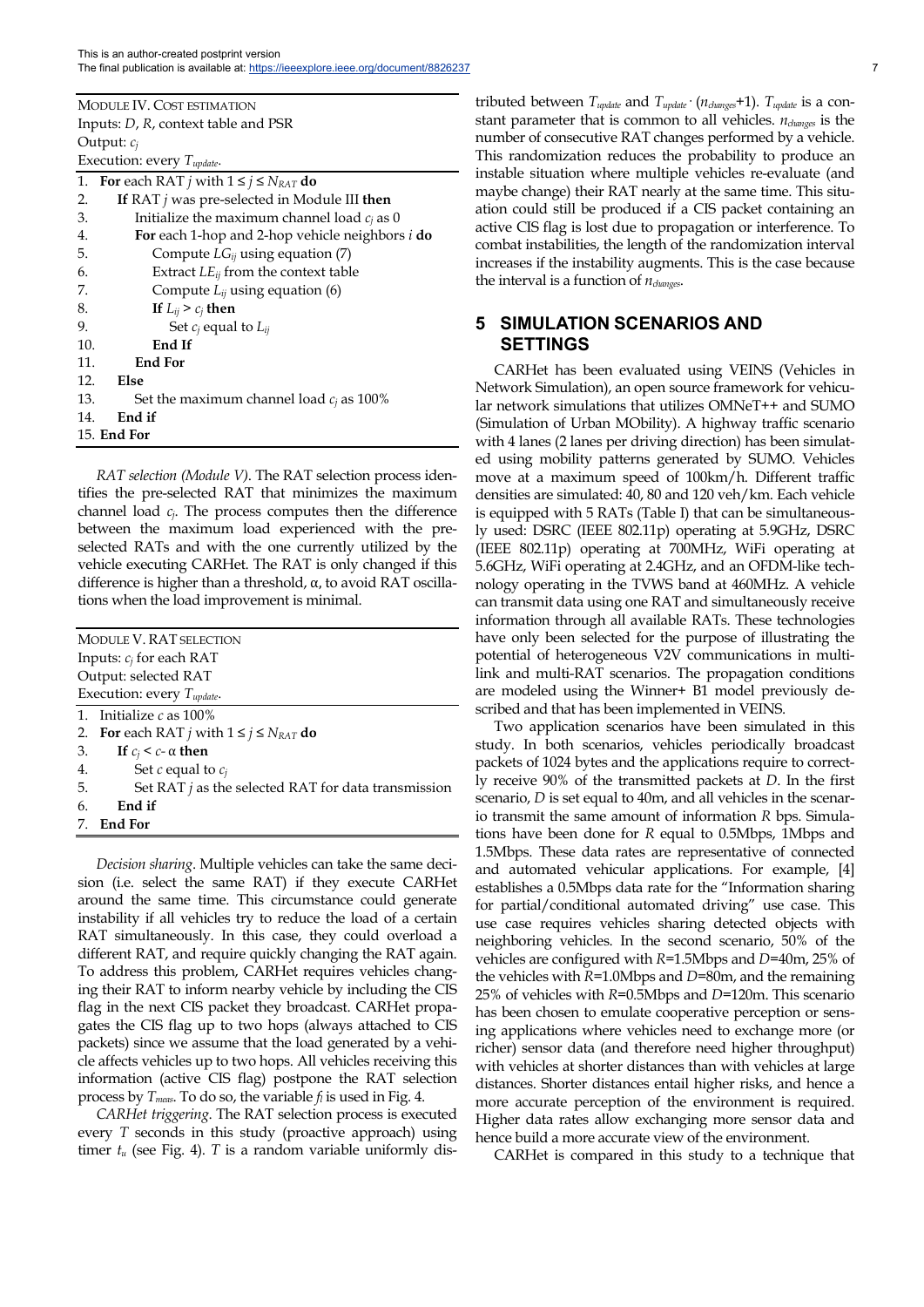| MODULE IV. COST ESTIMATION          |
|-------------------------------------|
| Inputs: D, R, context table and PSR |
| Output: $c_i$                       |
| Execution: every $T_{undate}$ .     |

| 1.  | For each RAT <i>j</i> with $1 \le j \le N_{RAT}$ do           |  |  |  |
|-----|---------------------------------------------------------------|--|--|--|
| 2.  | If RAT $j$ was pre-selected in Module III then                |  |  |  |
| 3.  | Initialize the maximum channel load $c_i$ as 0                |  |  |  |
| 4.  | <b>For</b> each 1-hop and 2-hop vehicle neighbors <i>i</i> do |  |  |  |
| 5.  | Compute $LG_{ij}$ using equation (7)                          |  |  |  |
| 6.  | Extract $LE_{ii}$ from the context table                      |  |  |  |
| 7.  | Compute $L_{ij}$ using equation (6)                           |  |  |  |
| 8.  | If $L_{ij} > c_j$ then                                        |  |  |  |
| 9.  | Set $c_i$ equal to $L_{ii}$                                   |  |  |  |
| 10. | End If                                                        |  |  |  |
| 11. | <b>End For</b>                                                |  |  |  |
| 12. | Else                                                          |  |  |  |
| 13. | Set the maximum channel load $c_i$ as 100%                    |  |  |  |
| 14. | End if                                                        |  |  |  |
|     | <b>15. End For</b>                                            |  |  |  |

*RAT selection (Module V)*. The RAT selection process identifies the pre-selected RAT that minimizes the maximum channel load *cj*. The process computes then the difference between the maximum load experienced with the preselected RATs and with the one currently utilized by the vehicle executing CARHet. The RAT is only changed if this difference is higher than a threshold, α, to avoid RAT oscillations when the load improvement is minimal.

| MODULE V. RAT SELECTION                                     |  |  |  |
|-------------------------------------------------------------|--|--|--|
| Inputs: $c_j$ for each RAT                                  |  |  |  |
| Output: selected RAT                                        |  |  |  |
| Execution: every $T_{update}$ .                             |  |  |  |
| 1. Initialize $c$ as 100%                                   |  |  |  |
| 2. For each RAT <i>j</i> with $1 \le j \le N_{RAT}$ do      |  |  |  |
| 3.<br>If $c_i < c$ - $\alpha$ then                          |  |  |  |
| 4.<br>Set $c$ equal to $c_i$                                |  |  |  |
| 5.<br>Set RAT $j$ as the selected RAT for data transmission |  |  |  |
| 6.<br>End if                                                |  |  |  |
| 7. End For                                                  |  |  |  |

*Decision sharing*. Multiple vehicles can take the same decision (i.e. select the same RAT) if they execute CARHet around the same time. This circumstance could generate instability if all vehicles try to reduce the load of a certain RAT simultaneously. In this case, they could overload a different RAT, and require quickly changing the RAT again. To address this problem, CARHet requires vehicles changing their RAT to inform nearby vehicle by including the CIS flag in the next CIS packet they broadcast. CARHet propagates the CIS flag up to two hops (always attached to CIS packets) since we assume that the load generated by a vehicle affects vehicles up to two hops. All vehicles receiving this information (active CIS flag) postpone the RAT selection process by *Tmeas*. To do so, the variable *fl* is used in Fig. 4.

*CARHet triggering*. The RAT selection process is executed every *T* seconds in this study (proactive approach) using timer  $t_u$  (see Fig. 4). *T* is a random variable uniformly dis-

tributed between *Tupdate* and *Tupdate*· (*nchanges*+1). *Tupdate* is a constant parameter that is common to all vehicles. *nchanges* is the number of consecutive RAT changes performed by a vehicle. This randomization reduces the probability to produce an instable situation where multiple vehicles re-evaluate (and maybe change) their RAT nearly at the same time. This situation could still be produced if a CIS packet containing an active CIS flag is lost due to propagation or interference. To combat instabilities, the length of the randomization interval increases if the instability augments. This is the case because the interval is a function of *nchanges*.

## **5 SIMULATION SCENARIOS AND SETTINGS**

CARHet has been evaluated using VEINS (Vehicles in Network Simulation), an open source framework for vehicular network simulations that utilizes OMNeT++ and SUMO (Simulation of Urban MObility). A highway traffic scenario with 4 lanes (2 lanes per driving direction) has been simulated using mobility patterns generated by SUMO. Vehicles move at a maximum speed of 100km/h. Different traffic densities are simulated: 40, 80 and 120 veh/km. Each vehicle is equipped with 5 RATs (Table I) that can be simultaneously used: DSRC (IEEE 802.11p) operating at 5.9GHz, DSRC (IEEE 802.11p) operating at 700MHz, WiFi operating at 5.6GHz, WiFi operating at 2.4GHz, and an OFDM-like technology operating in the TVWS band at 460MHz. A vehicle can transmit data using one RAT and simultaneously receive information through all available RATs. These technologies have only been selected for the purpose of illustrating the potential of heterogeneous V2V communications in multilink and multi-RAT scenarios. The propagation conditions are modeled using the Winner+ B1 model previously described and that has been implemented in VEINS.

Two application scenarios have been simulated in this study. In both scenarios, vehicles periodically broadcast packets of 1024 bytes and the applications require to correctly receive 90% of the transmitted packets at *D*. In the first scenario, *D* is set equal to 40m, and all vehicles in the scenario transmit the same amount of information *R* bps. Simulations have been done for *R* equal to 0.5Mbps, 1Mbps and 1.5Mbps. These data rates are representative of connected and automated vehicular applications. For example, [4] establishes a 0.5Mbps data rate for the "Information sharing for partial/conditional automated driving" use case. This use case requires vehicles sharing detected objects with neighboring vehicles. In the second scenario, 50% of the vehicles are configured with *R*=1.5Mbps and *D*=40m, 25% of the vehicles with *R*=1.0Mbps and *D*=80m, and the remaining 25% of vehicles with *R*=0.5Mbps and *D*=120m. This scenario has been chosen to emulate cooperative perception or sensing applications where vehicles need to exchange more (or richer) sensor data (and therefore need higher throughput) with vehicles at shorter distances than with vehicles at large distances. Shorter distances entail higher risks, and hence a more accurate perception of the environment is required. Higher data rates allow exchanging more sensor data and hence build a more accurate view of the environment.

CARHet is compared in this study to a technique that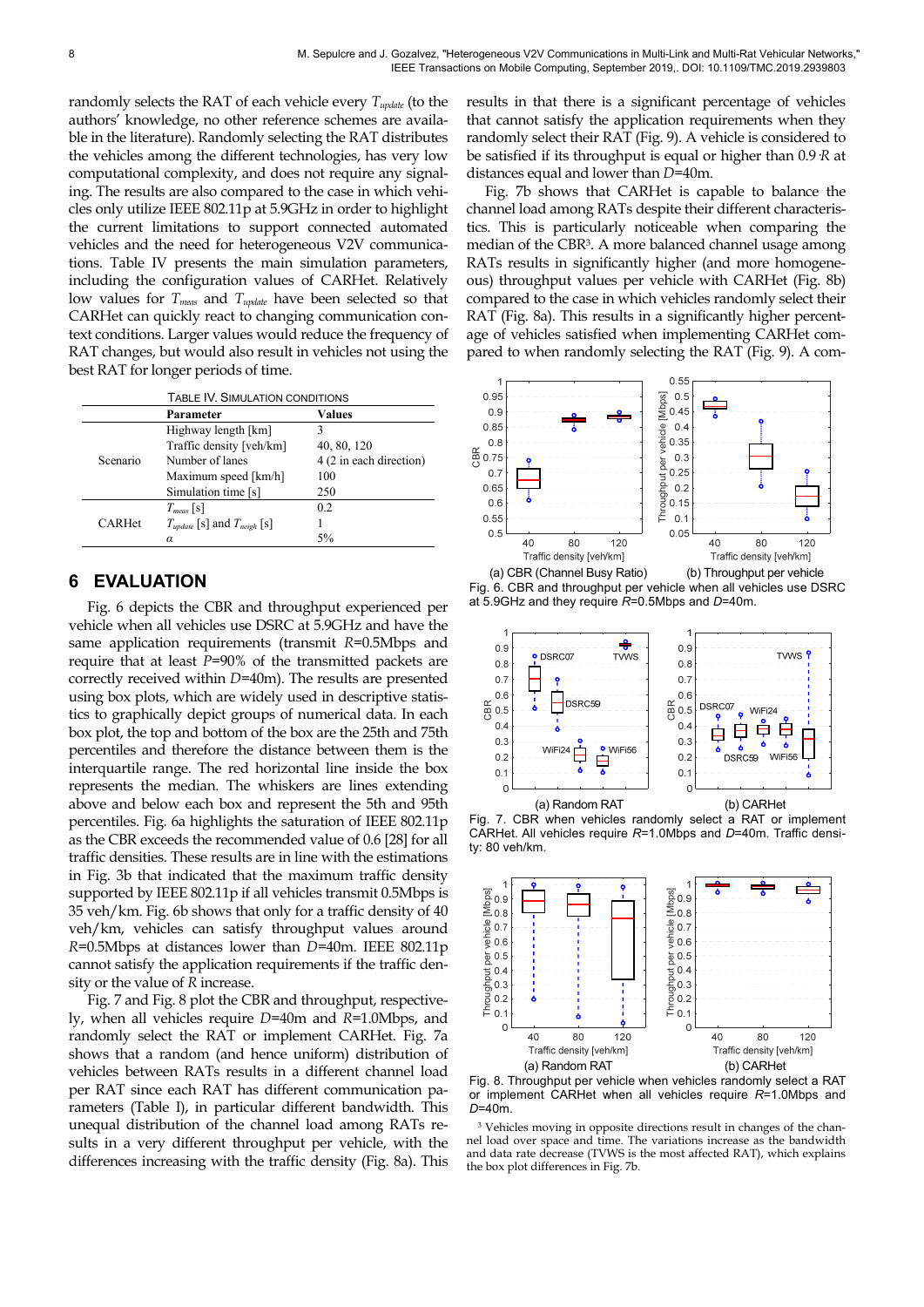randomly selects the RAT of each vehicle every *Tupdate* (to the authors' knowledge, no other reference schemes are available in the literature). Randomly selecting the RAT distributes the vehicles among the different technologies, has very low computational complexity, and does not require any signaling. The results are also compared to the case in which vehicles only utilize IEEE 802.11p at 5.9GHz in order to highlight the current limitations to support connected automated vehicles and the need for heterogeneous V2V communications. Table IV presents the main simulation parameters, including the configuration values of CARHet. Relatively low values for *Tmeas* and *Tupdate* have been selected so that CARHet can quickly react to changing communication context conditions. Larger values would reduce the frequency of RAT changes, but would also result in vehicles not using the best RAT for longer periods of time.

| TABLE IV. SIMULATION CONDITIONS |                                      |                         |  |
|---------------------------------|--------------------------------------|-------------------------|--|
|                                 | Parameter                            | Values                  |  |
|                                 | Highway length [km]                  | 3                       |  |
|                                 | Traffic density [veh/km]             | 40, 80, 120             |  |
| Scenario                        | Number of lanes                      | 4 (2 in each direction) |  |
|                                 | Maximum speed [km/h]                 | 100                     |  |
|                                 | Simulation time [s]                  | 250                     |  |
|                                 | $T_{meas}$ [s]                       | 0.2                     |  |
| <b>CARHet</b>                   | $T_{update}$ [s] and $T_{neigh}$ [s] |                         |  |
|                                 | α                                    | 5%                      |  |

## **6 EVALUATION**

Fig. 6 depicts the CBR and throughput experienced per vehicle when all vehicles use DSRC at 5.9GHz and have the same application requirements (transmit *R*=0.5Mbps and require that at least *P*=90% of the transmitted packets are correctly received within *D*=40m). The results are presented using box plots, which are widely used in descriptive statistics to graphically depict groups of numerical data. In each box plot, the top and bottom of the box are the 25th and 75th percentiles and therefore the distance between them is the interquartile range. The red horizontal line inside the box represents the median. The whiskers are lines extending above and below each box and represent the 5th and 95th percentiles. Fig. 6a highlights the saturation of IEEE 802.11p as the CBR exceeds the recommended value of 0.6 [28] for all traffic densities. These results are in line with the estimations in Fig. 3b that indicated that the maximum traffic density supported by IEEE 802.11p if all vehicles transmit 0.5Mbps is 35 veh/km. Fig. 6b shows that only for a traffic density of 40 veh/km, vehicles can satisfy throughput values around *R*=0.5Mbps at distances lower than *D*=40m. IEEE 802.11p cannot satisfy the application requirements if the traffic density or the value of *R* increase.

Fig. 7 and Fig. 8 plot the CBR and throughput, respectively, when all vehicles require *D*=40m and *R*=1.0Mbps, and randomly select the RAT or implement CARHet. Fig. 7a shows that a random (and hence uniform) distribution of vehicles between RATs results in a different channel load per RAT since each RAT has different communication parameters (Table I), in particular different bandwidth. This unequal distribution of the channel load among RATs results in a very different throughput per vehicle, with the differences increasing with the traffic density (Fig. 8a). This

results in that there is a significant percentage of vehicles that cannot satisfy the application requirements when they randomly select their RAT (Fig. 9). A vehicle is considered to be satisfied if its throughput is equal or higher than 0.9·*R* at distances equal and lower than *D*=40m.

Fig. 7b shows that CARHet is capable to balance the channel load among RATs despite their different characteristics. This is particularly noticeable when comparing the median of the CBR3. A more balanced channel usage among RATs results in significantly higher (and more homogeneous) throughput values per vehicle with CARHet (Fig. 8b) compared to the case in which vehicles randomly select their RAT (Fig. 8a). This results in a significantly higher percentage of vehicles satisfied when implementing CARHet compared to when randomly selecting the RAT (Fig. 9). A com-











Fig. 8. Throughput per vehicle when vehicles randomly select a RAT or implement CARHet when all vehicles require *R*=1.0Mbps and D=40m.

<sup>3</sup> Vehicles moving in opposite directions result in changes of the channel load over space and time. The variations increase as the bandwidth and data rate decrease (TVWS is the most affected RAT), which explains the box plot differences in Fig. 7b.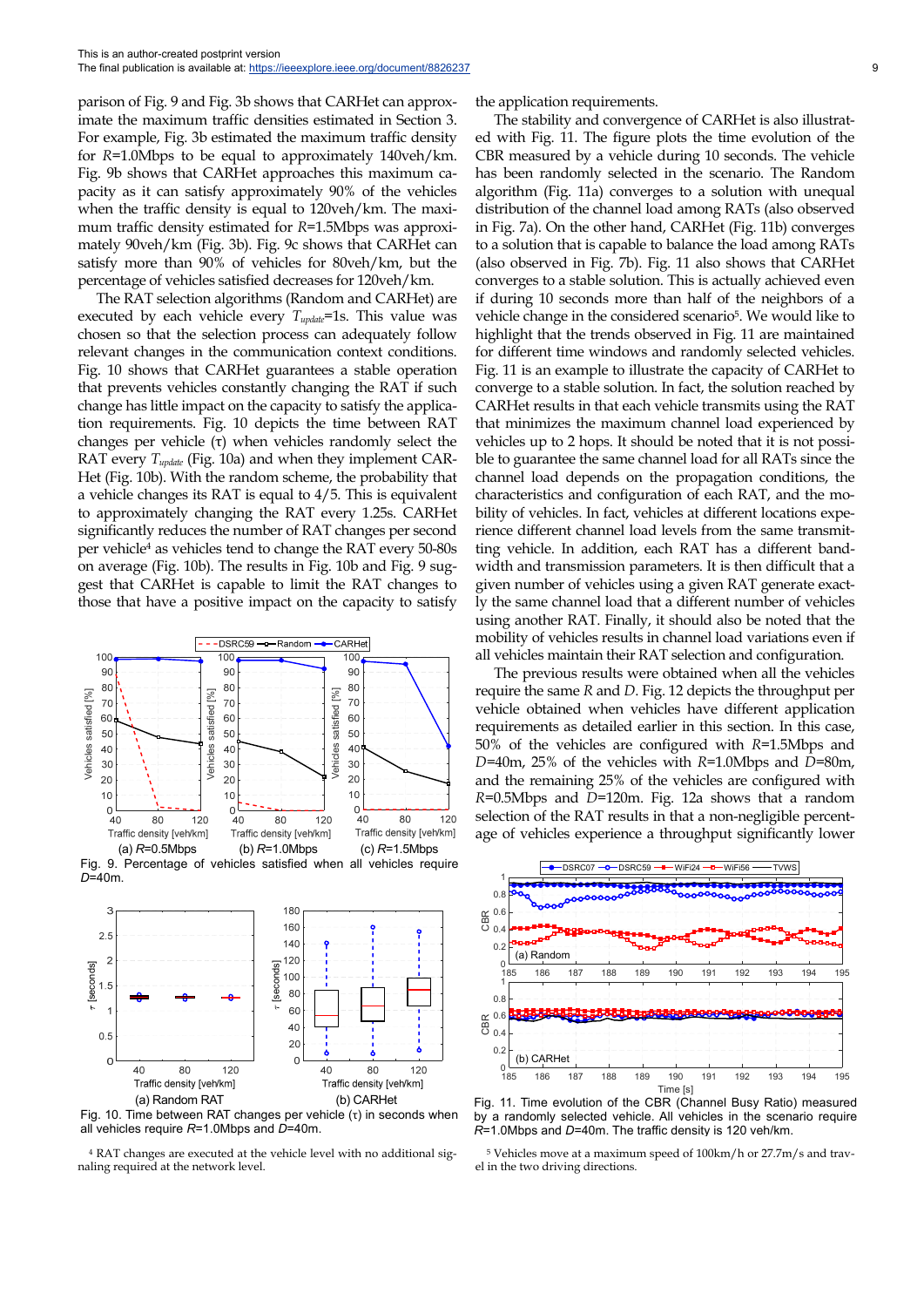parison of Fig. 9 and Fig. 3b shows that CARHet can approximate the maximum traffic densities estimated in Section 3. For example, Fig. 3b estimated the maximum traffic density for *R*=1.0Mbps to be equal to approximately 140veh/km. Fig. 9b shows that CARHet approaches this maximum capacity as it can satisfy approximately 90% of the vehicles when the traffic density is equal to 120veh/km. The maximum traffic density estimated for *R*=1.5Mbps was approximately 90veh/km (Fig. 3b). Fig. 9c shows that CARHet can satisfy more than 90% of vehicles for 80veh/km, but the percentage of vehicles satisfied decreases for 120veh/km.

The RAT selection algorithms (Random and CARHet) are executed by each vehicle every *Tupdate*=1s. This value was chosen so that the selection process can adequately follow relevant changes in the communication context conditions. Fig. 10 shows that CARHet guarantees a stable operation that prevents vehicles constantly changing the RAT if such change has little impact on the capacity to satisfy the application requirements. Fig. 10 depicts the time between RAT changes per vehicle (τ) when vehicles randomly select the RAT every *Tupdate* (Fig. 10a) and when they implement CAR-Het (Fig. 10b). With the random scheme, the probability that a vehicle changes its RAT is equal to 4/5. This is equivalent to approximately changing the RAT every 1.25s. CARHet significantly reduces the number of RAT changes per second per vehicle4 as vehicles tend to change the RAT every 50-80s on average (Fig. 10b). The results in Fig. 10b and Fig. 9 suggest that CARHet is capable to limit the RAT changes to those that have a positive impact on the capacity to satisfy





Fig. 10. Time between RAT changes per vehicle (τ) in seconds when all vehicles require  $R=1.0$ Mbps and  $D=40$ m.

4 RAT changes are executed at the vehicle level with no additional signaling required at the network level.

the application requirements.

The stability and convergence of CARHet is also illustrated with Fig. 11. The figure plots the time evolution of the CBR measured by a vehicle during 10 seconds. The vehicle has been randomly selected in the scenario. The Random algorithm (Fig. 11a) converges to a solution with unequal distribution of the channel load among RATs (also observed in Fig. 7a). On the other hand, CARHet (Fig. 11b) converges to a solution that is capable to balance the load among RATs (also observed in Fig. 7b). Fig. 11 also shows that CARHet converges to a stable solution. This is actually achieved even if during 10 seconds more than half of the neighbors of a vehicle change in the considered scenario5. We would like to highlight that the trends observed in Fig. 11 are maintained for different time windows and randomly selected vehicles. Fig. 11 is an example to illustrate the capacity of CARHet to converge to a stable solution. In fact, the solution reached by CARHet results in that each vehicle transmits using the RAT that minimizes the maximum channel load experienced by vehicles up to 2 hops. It should be noted that it is not possible to guarantee the same channel load for all RATs since the channel load depends on the propagation conditions, the characteristics and configuration of each RAT, and the mobility of vehicles. In fact, vehicles at different locations experience different channel load levels from the same transmitting vehicle. In addition, each RAT has a different bandwidth and transmission parameters. It is then difficult that a given number of vehicles using a given RAT generate exactly the same channel load that a different number of vehicles using another RAT. Finally, it should also be noted that the mobility of vehicles results in channel load variations even if all vehicles maintain their RAT selection and configuration.

The previous results were obtained when all the vehicles require the same *R* and *D*. Fig. 12 depicts the throughput per vehicle obtained when vehicles have different application requirements as detailed earlier in this section. In this case, 50% of the vehicles are configured with *R*=1.5Mbps and *D*=40m, 25% of the vehicles with *R*=1.0Mbps and *D*=80m, and the remaining 25% of the vehicles are configured with *R*=0.5Mbps and *D*=120m. Fig. 12a shows that a random selection of the RAT results in that a non-negligible percentage of vehicles experience a throughput significantly lower



Fig. 11. Time evolution of the CBR (Channel Busy Ratio) measured by a randomly selected vehicle. All vehicles in the scenario require *R*=1.0Mbps and *D*=40m. The traffic density is 120 veh/km.

5 Vehicles move at a maximum speed of 100km/h or 27.7m/s and travel in the two driving directions.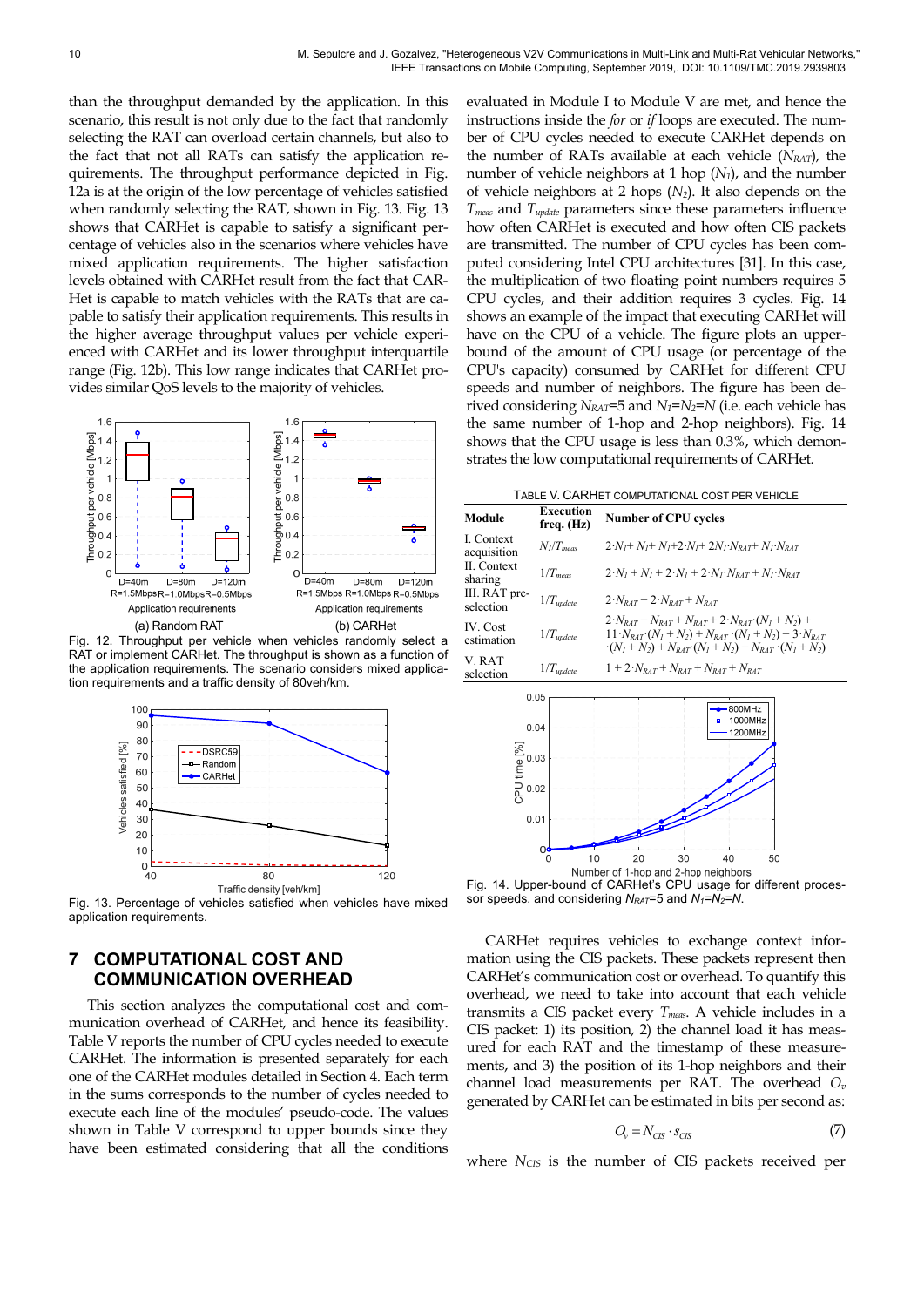than the throughput demanded by the application. In this scenario, this result is not only due to the fact that randomly selecting the RAT can overload certain channels, but also to the fact that not all RATs can satisfy the application requirements. The throughput performance depicted in Fig. 12a is at the origin of the low percentage of vehicles satisfied when randomly selecting the RAT, shown in Fig. 13. Fig. 13 shows that CARHet is capable to satisfy a significant percentage of vehicles also in the scenarios where vehicles have mixed application requirements. The higher satisfaction levels obtained with CARHet result from the fact that CAR-Het is capable to match vehicles with the RATs that are capable to satisfy their application requirements. This results in the higher average throughput values per vehicle experienced with CARHet and its lower throughput interquartile range (Fig. 12b). This low range indicates that CARHet provides similar QoS levels to the majority of vehicles.



Fig. 12. Throughput per vehicle when vehicles randomly select a RAT or implement CARHet. The throughput is shown as a function of the application requirements. The scenario considers mixed application requirements and a traffic density of 80veh/km.



Traffic density [veh/km]<br>Fig. 13. Percentage of vehicles satisfied when vehicles have mixed application requirements.

## **7 COMPUTATIONAL COST AND COMMUNICATION OVERHEAD**

This section analyzes the computational cost and communication overhead of CARHet, and hence its feasibility. Table V reports the number of CPU cycles needed to execute CARHet. The information is presented separately for each one of the CARHet modules detailed in Section 4. Each term in the sums corresponds to the number of cycles needed to execute each line of the modules' pseudo-code. The values shown in Table V correspond to upper bounds since they have been estimated considering that all the conditions evaluated in Module I to Module V are met, and hence the instructions inside the *for* or *if* loops are executed. The number of CPU cycles needed to execute CARHet depends on the number of RATs available at each vehicle  $(N<sub>RAT</sub>)$ , the number of vehicle neighbors at 1 hop (*N1*), and the number of vehicle neighbors at 2 hops (*N2*). It also depends on the *Tmeas* and *Tupdate* parameters since these parameters influence how often CARHet is executed and how often CIS packets are transmitted. The number of CPU cycles has been computed considering Intel CPU architectures [31]. In this case, the multiplication of two floating point numbers requires 5 CPU cycles, and their addition requires 3 cycles. Fig. 14 shows an example of the impact that executing CARHet will have on the CPU of a vehicle. The figure plots an upperbound of the amount of CPU usage (or percentage of the CPU's capacity) consumed by CARHet for different CPU speeds and number of neighbors. The figure has been derived considering  $N_{RAT}$ =5 and  $N_T$ = $N_2$ = $N$  (i.e. each vehicle has the same number of 1-hop and 2-hop neighbors). Fig. 14 shows that the CPU usage is less than 0.3%, which demonstrates the low computational requirements of CARHet.

| TABLE V. CARHET COMPUTATIONAL COST PER VEHICLE |
|------------------------------------------------|
|------------------------------------------------|

| Module                     | Execution<br>freq. (Hz) | <b>Number of CPU cycles</b>                                                                                                                                                                                                 |
|----------------------------|-------------------------|-----------------------------------------------------------------------------------------------------------------------------------------------------------------------------------------------------------------------------|
| I. Context<br>acquisition  | $N_l/T_{meas}$          | $2\cdot N_t + N_t + N_t + 2\cdot N_t + 2N_t\cdot N_{\text{part}} + N_t\cdot N_{\text{part}}$                                                                                                                                |
| II. Context<br>sharing     | $1/T_{meas}$            | $2 \cdot N_1 + N_1 + 2 \cdot N_1 + 2 \cdot N_1 \cdot N_{RAT} + N_1 \cdot N_{RAT}$                                                                                                                                           |
| III. RAT pre-<br>selection | $1/T_{update}$          | $2\cdot N_{\text{PAT}}+2\cdot N_{\text{PAT}}+N_{\text{RAT}}$                                                                                                                                                                |
| IV. Cost<br>estimation     | $1/T_{update}$          | $2\cdot N_{RAT} + N_{RAT} + N_{RAT} + 2\cdot N_{RAT} \cdot (N_I + N_2) +$<br>$11 \cdot N_{RAT} \cdot (N_1 + N_2) + N_{RAT} \cdot (N_1 + N_2) + 3 \cdot N_{RAT}$<br>$-(N_1 + N_2) + N_{RAT}(N_1 + N_2) + N_{RAT}(N_1 + N_2)$ |
| V. RAT<br>selection        | $1/T_{update}$          | $1 + 2 \cdot N_{\text{PAT}} + N_{\text{PAT}} + N_{\text{PAT}} + N_{\text{PAT}}$                                                                                                                                             |



Fig. 14. Upper-bound of CARHet's CPU usage for different processor speeds, and considering  $N_{RAT}=5$  and  $N_1=N_2=N$ .

CARHet requires vehicles to exchange context information using the CIS packets. These packets represent then CARHet's communication cost or overhead. To quantify this overhead, we need to take into account that each vehicle transmits a CIS packet every *Tmeas*. A vehicle includes in a CIS packet: 1) its position, 2) the channel load it has measured for each RAT and the timestamp of these measurements, and 3) the position of its 1-hop neighbors and their channel load measurements per RAT. The overhead *Ov* generated by CARHet can be estimated in bits per second as:

$$
O_v = N_{CS} \cdot s_{CS} \tag{7}
$$

where *N<sub>CIS</sub>* is the number of CIS packets received per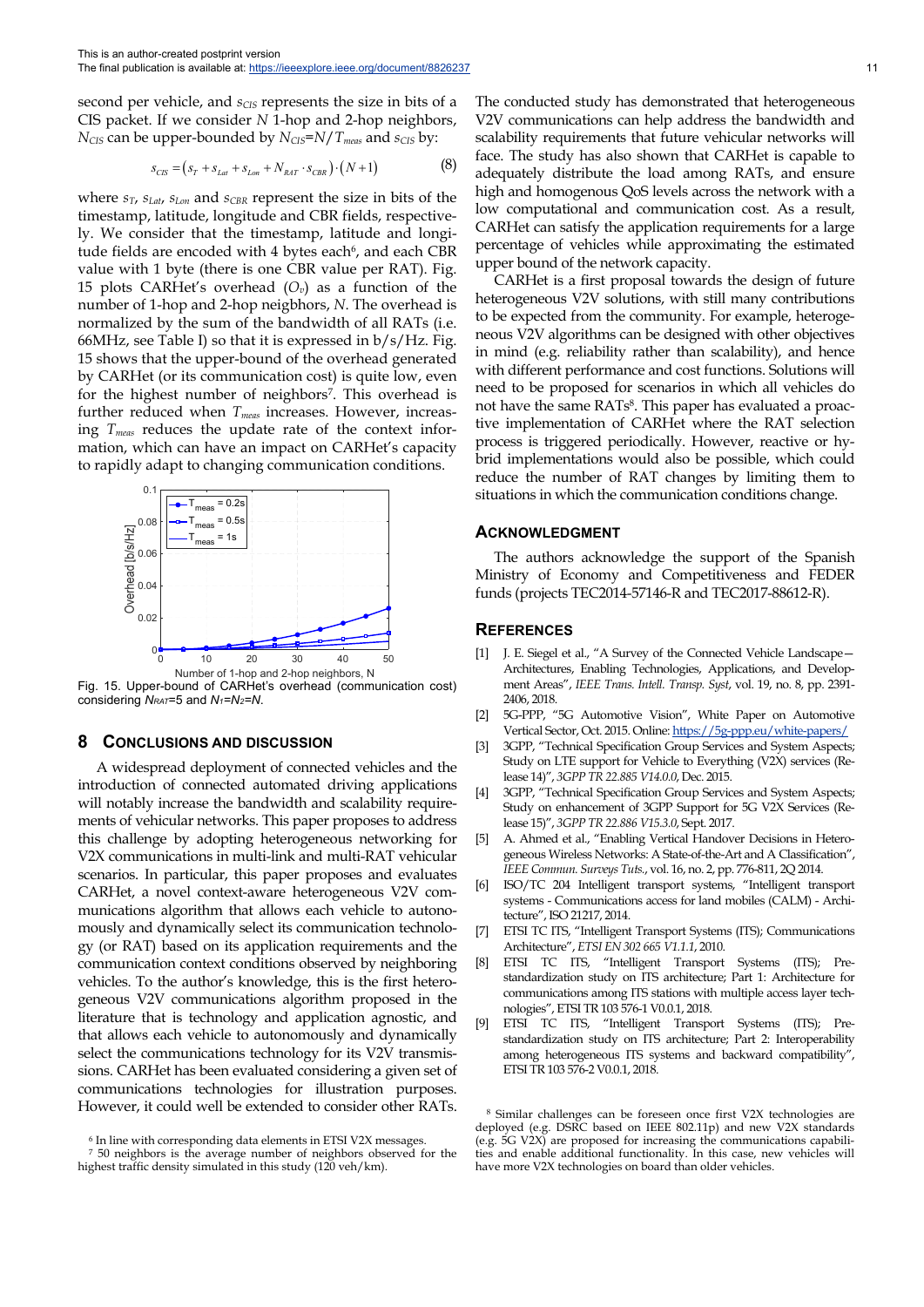second per vehicle, and *s<sub>CIS</sub>* represents the size in bits of a CIS packet. If we consider *N* 1-hop and 2-hop neighbors, *N<sub>CIS</sub>* can be upper-bounded by  $N_{CIS} = N/T_{meas}$  and  $s_{CIS}$  by:

$$
s_{\text{CIS}} = (s_r + s_{\text{Lat}} + s_{\text{Lon}} + N_{\text{RAT}} \cdot s_{\text{CBR}}) \cdot (N+1) \tag{8}
$$

where *sT*, *sLat*, *sLon* and *sCBR* represent the size in bits of the timestamp, latitude, longitude and CBR fields, respectively. We consider that the timestamp, latitude and longitude fields are encoded with 4 bytes each<sup>6</sup>, and each CBR value with 1 byte (there is one CBR value per RAT). Fig. 15 plots CARHet's overhead  $(O_v)$  as a function of the number of 1-hop and 2-hop neigbhors, *N*. The overhead is normalized by the sum of the bandwidth of all RATs (i.e. 66MHz, see Table I) so that it is expressed in  $b/s/Hz$ . Fig. 15 shows that the upper-bound of the overhead generated by CARHet (or its communication cost) is quite low, even for the highest number of neighbors7. This overhead is further reduced when  $T_{meas}$  increases. However, increasing *Tmeas* reduces the update rate of the context information, which can have an impact on CARHet's capacity to rapidly adapt to changing communication conditions.



Fig. 15. Upper-bound of CARHet's overhead (communication cost) considering *NRAT*=5 and *N1=N2=N*.

#### **8 CONCLUSIONS AND DISCUSSION**

A widespread deployment of connected vehicles and the introduction of connected automated driving applications will notably increase the bandwidth and scalability requirements of vehicular networks. This paper proposes to address this challenge by adopting heterogeneous networking for V2X communications in multi-link and multi-RAT vehicular scenarios. In particular, this paper proposes and evaluates CARHet, a novel context-aware heterogeneous V2V communications algorithm that allows each vehicle to autonomously and dynamically select its communication technology (or RAT) based on its application requirements and the communication context conditions observed by neighboring vehicles. To the author's knowledge, this is the first heterogeneous V2V communications algorithm proposed in the literature that is technology and application agnostic, and that allows each vehicle to autonomously and dynamically select the communications technology for its V2V transmissions. CARHet has been evaluated considering a given set of communications technologies for illustration purposes. However, it could well be extended to consider other RATs.

The conducted study has demonstrated that heterogeneous V2V communications can help address the bandwidth and scalability requirements that future vehicular networks will face. The study has also shown that CARHet is capable to adequately distribute the load among RATs, and ensure high and homogenous QoS levels across the network with a low computational and communication cost. As a result, CARHet can satisfy the application requirements for a large percentage of vehicles while approximating the estimated upper bound of the network capacity.

CARHet is a first proposal towards the design of future heterogeneous V2V solutions, with still many contributions to be expected from the community. For example, heterogeneous V2V algorithms can be designed with other objectives in mind (e.g. reliability rather than scalability), and hence with different performance and cost functions. Solutions will need to be proposed for scenarios in which all vehicles do not have the same RATs<sup>8</sup>. This paper has evaluated a proactive implementation of CARHet where the RAT selection process is triggered periodically. However, reactive or hybrid implementations would also be possible, which could reduce the number of RAT changes by limiting them to situations in which the communication conditions change.

#### **ACKNOWLEDGMENT**

The authors acknowledge the support of the Spanish Ministry of Economy and Competitiveness and FEDER funds (projects TEC2014-57146-R and TEC2017-88612-R).

#### **REFERENCES**

- [1] J. E. Siegel et al., "A Survey of the Connected Vehicle Landscape— Architectures, Enabling Technologies, Applications, and Development Areas", *IEEE Trans. Intell. Transp. Syst*, vol. 19, no. 8, pp. 2391- 2406, 2018.
- [2] 5G-PPP, "5G Automotive Vision", White Paper on Automotive Vertical Sector, Oct. 2015. Online: https://5g-ppp.eu/white-papers/
- [3] 3GPP, "Technical Specification Group Services and System Aspects; Study on LTE support for Vehicle to Everything (V2X) services (Release 14)", *3GPP TR 22.885 V14.0.0*, Dec. 2015.
- 3GPP, "Technical Specification Group Services and System Aspects; Study on enhancement of 3GPP Support for 5G V2X Services (Release 15)", *3GPP TR 22.886 V15.3.0*, Sept. 2017.
- [5] A. Ahmed et al., "Enabling Vertical Handover Decisions in Heterogeneous Wireless Networks: A State-of-the-Art and A Classification", *IEEE Commun. Surveys Tuts.*, vol. 16, no. 2, pp. 776-811, 2Q 2014.
- [6] ISO/TC 204 Intelligent transport systems, "Intelligent transport systems - Communications access for land mobiles (CALM) - Architecture", ISO 21217, 2014.
- [7] ETSI TC ITS, "Intelligent Transport Systems (ITS); Communications Architecture", *ETSI EN 302 665 V1.1.1*, 2010.
- [8] ETSI TC ITS, "Intelligent Transport Systems (ITS); Prestandardization study on ITS architecture; Part 1: Architecture for communications among ITS stations with multiple access layer technologies", ETSI TR 103 576-1 V0.0.1, 2018.
- [9] ETSI TC ITS, "Intelligent Transport Systems (ITS); Prestandardization study on ITS architecture; Part 2: Interoperability among heterogeneous ITS systems and backward compatibility", ETSI TR 103 576-2 V0.0.1, 2018.

<sup>6</sup> In line with corresponding data elements in ETSI V2X messages.

<sup>7 50</sup> neighbors is the average number of neighbors observed for the highest traffic density simulated in this study (120 veh/km).

<sup>8</sup> Similar challenges can be foreseen once first V2X technologies are deployed (e.g. DSRC based on IEEE 802.11p) and new V2X standards (e.g. 5G V2X) are proposed for increasing the communications capabilities and enable additional functionality. In this case, new vehicles will have more V2X technologies on board than older vehicles.